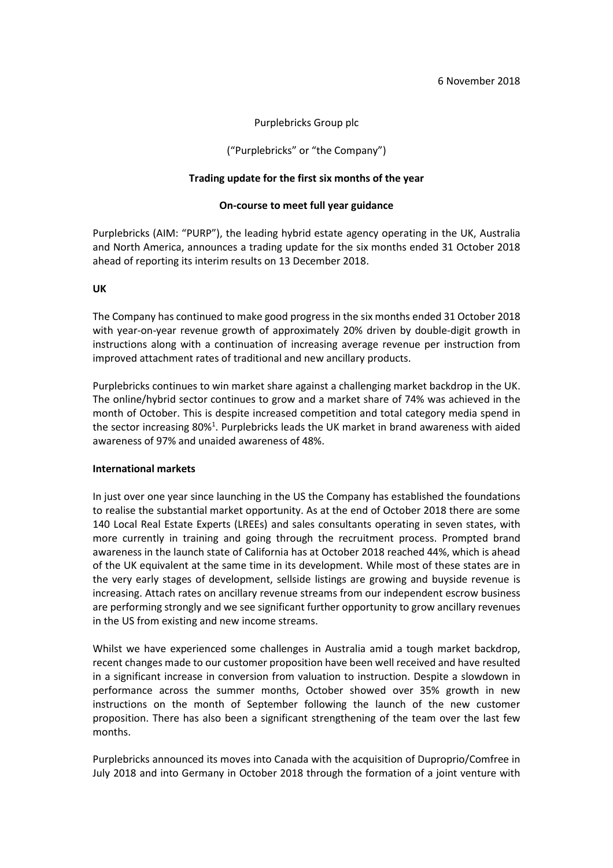# Purplebricks Group plc

## ("Purplebricks" or "the Company")

## **Trading update for the first six months of the year**

## **On-course to meet full year guidance**

Purplebricks (AIM: "PURP"), the leading hybrid estate agency operating in the UK, Australia and North America, announces a trading update for the six months ended 31 October 2018 ahead of reporting its interim results on 13 December 2018.

## **UK**

The Company has continued to make good progress in the six months ended 31 October 2018 with year-on-year revenue growth of approximately 20% driven by double-digit growth in instructions along with a continuation of increasing average revenue per instruction from improved attachment rates of traditional and new ancillary products.

Purplebricks continues to win market share against a challenging market backdrop in the UK. The online/hybrid sector continues to grow and a market share of 74% was achieved in the month of October. This is despite increased competition and total category media spend in the sector increasing 80%<sup>1</sup>. Purplebricks leads the UK market in brand awareness with aided awareness of 97% and unaided awareness of 48%.

#### **International markets**

In just over one year since launching in the US the Company has established the foundations to realise the substantial market opportunity. As at the end of October 2018 there are some 140 Local Real Estate Experts (LREEs) and sales consultants operating in seven states, with more currently in training and going through the recruitment process. Prompted brand awareness in the launch state of California has at October 2018 reached 44%, which is ahead of the UK equivalent at the same time in its development. While most of these states are in the very early stages of development, sellside listings are growing and buyside revenue is increasing. Attach rates on ancillary revenue streams from our independent escrow business are performing strongly and we see significant further opportunity to grow ancillary revenues in the US from existing and new income streams.

Whilst we have experienced some challenges in Australia amid a tough market backdrop, recent changes made to our customer proposition have been well received and have resulted in a significant increase in conversion from valuation to instruction. Despite a slowdown in performance across the summer months, October showed over 35% growth in new instructions on the month of September following the launch of the new customer proposition. There has also been a significant strengthening of the team over the last few months.

Purplebricks announced its moves into Canada with the acquisition of Duproprio/Comfree in July 2018 and into Germany in October 2018 through the formation of a joint venture with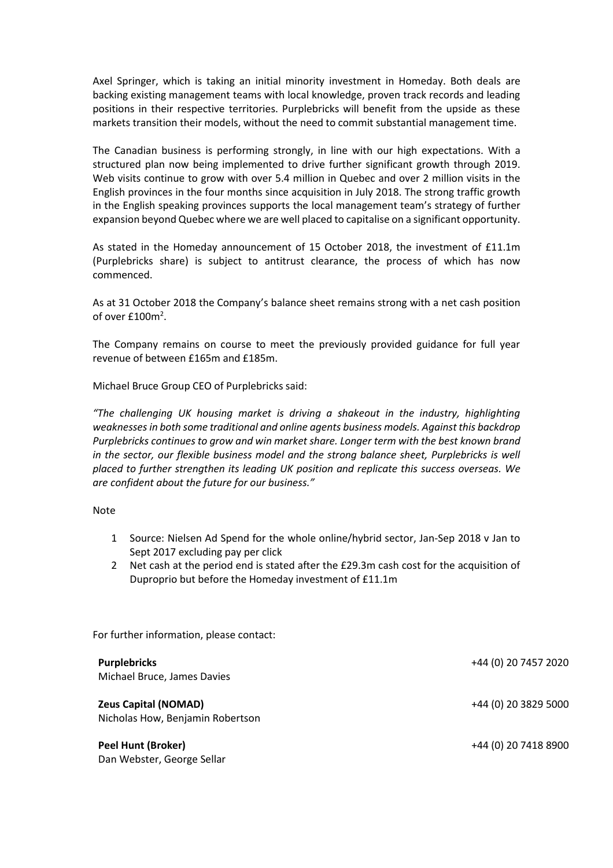Axel Springer, which is taking an initial minority investment in Homeday. Both deals are backing existing management teams with local knowledge, proven track records and leading positions in their respective territories. Purplebricks will benefit from the upside as these markets transition their models, without the need to commit substantial management time.

The Canadian business is performing strongly, in line with our high expectations. With a structured plan now being implemented to drive further significant growth through 2019. Web visits continue to grow with over 5.4 million in Quebec and over 2 million visits in the English provinces in the four months since acquisition in July 2018. The strong traffic growth in the English speaking provinces supports the local management team's strategy of further expansion beyond Quebec where we are well placed to capitalise on a significant opportunity.

As stated in the Homeday announcement of 15 October 2018, the investment of £11.1m (Purplebricks share) is subject to antitrust clearance, the process of which has now commenced.

As at 31 October 2018 the Company's balance sheet remains strong with a net cash position of over  $£100<sup>2</sup>$ .

The Company remains on course to meet the previously provided guidance for full year revenue of between £165m and £185m.

Michael Bruce Group CEO of Purplebricks said:

*"The challenging UK housing market is driving a shakeout in the industry, highlighting weaknesses in both some traditional and online agents business models. Against this backdrop Purplebricks continues to grow and win market share. Longer term with the best known brand in the sector, our flexible business model and the strong balance sheet, Purplebricks is well placed to further strengthen its leading UK position and replicate this success overseas. We are confident about the future for our business."*

#### Note

- 1 Source: Nielsen Ad Spend for the whole online/hybrid sector, Jan-Sep 2018 v Jan to Sept 2017 excluding pay per click
- 2 Net cash at the period end is stated after the £29.3m cash cost for the acquisition of Duproprio but before the Homeday investment of £11.1m

For further information, please contact:

| <b>Purplebricks</b><br>Michael Bruce, James Davies              | +44 (0) 20 7457 2020 |
|-----------------------------------------------------------------|----------------------|
| <b>Zeus Capital (NOMAD)</b><br>Nicholas How, Benjamin Robertson | +44 (0) 20 3829 5000 |
| <b>Peel Hunt (Broker)</b><br>Dan Webster, George Sellar         | +44 (0) 20 7418 8900 |